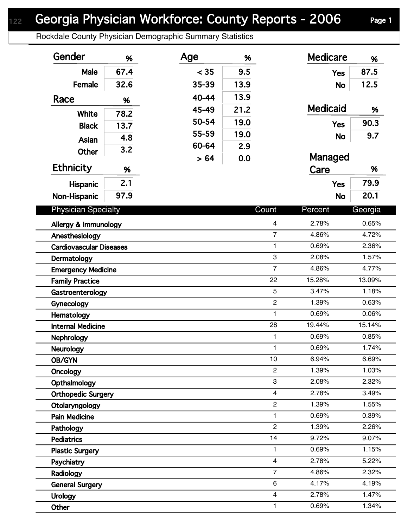## Georgia Physician Workforce: County Reports - 2006 Page 1

Rockdale County Physician Demographic Summary Statistics

| Gender                         | %    | Age   | %              |                   | <b>Medicare</b> | %              |
|--------------------------------|------|-------|----------------|-------------------|-----------------|----------------|
| Male                           | 67.4 | < 35  | 9.5            |                   | <b>Yes</b>      | 87.5           |
| Female                         | 32.6 | 35-39 | 13.9           |                   | <b>No</b>       | 12.5           |
| Race                           | %    | 40-44 | 13.9           |                   |                 |                |
|                                |      | 45-49 | 21.2           |                   | <b>Medicaid</b> | %              |
| White                          | 78.2 | 50-54 | 19.0           |                   | <b>Yes</b>      | 90.3           |
| <b>Black</b>                   | 13.7 | 55-59 | 19.0           |                   |                 | 9.7            |
| Asian                          | 4.8  | 60-64 | 2.9            |                   | <b>No</b>       |                |
| <b>Other</b>                   | 3.2  | > 64  | 0.0            |                   | Managed         |                |
| <b>Ethnicity</b>               | %    |       |                |                   | Care            | %              |
| Hispanic                       | 2.1  |       |                |                   | <b>Yes</b>      | 79.9           |
| Non-Hispanic                   | 97.9 |       |                |                   | <b>No</b>       | 20.1           |
| <b>Physician Specialty</b>     |      |       |                | Count             | Percent         |                |
|                                |      |       |                |                   |                 | Georgia        |
| Allergy & Immunology           |      |       |                | $\overline{4}$    | 2.78%           | 0.65%          |
| Anesthesiology                 |      |       |                | $\overline{7}$    | 4.86%           | 4.72%          |
| <b>Cardiovascular Diseases</b> |      |       |                | $\mathbf{1}$<br>3 | 0.69%           | 2.36%          |
| Dermatology                    |      |       |                | $\overline{7}$    | 2.08%<br>4.86%  | 1.57%<br>4.77% |
| <b>Emergency Medicine</b>      |      |       |                | 22                | 15.28%          | 13.09%         |
| <b>Family Practice</b>         |      |       |                | 5                 | 3.47%           | 1.18%          |
| Gastroenterology<br>Gynecology |      |       |                | $\overline{2}$    | 1.39%           | 0.63%          |
| Hematology                     |      |       |                | $\mathbf{1}$      | 0.69%           | 0.06%          |
| <b>Internal Medicine</b>       |      |       |                | 28                | 19.44%          | 15.14%         |
| <b>Nephrology</b>              |      |       |                | $\mathbf{1}$      | 0.69%           | 0.85%          |
| <b>Neurology</b>               |      |       |                | $\mathbf{1}$      | 0.69%           | 1.74%          |
| OB/GYN                         |      |       |                | 10                | 6.94%           | 6.69%          |
| Oncology                       |      |       |                | $\overline{2}$    | 1.39%           | 1.03%          |
| Opthalmology                   |      |       |                | 3                 | 2.08%           | 2.32%          |
| <b>Orthopedic Surgery</b>      |      |       |                | $\overline{4}$    | 2.78%           | 3.49%          |
| Otolaryngology                 |      |       |                | $\overline{c}$    | 1.39%           | 1.55%          |
| <b>Pain Medicine</b>           |      |       |                | 1                 | 0.69%           | 0.39%          |
| Pathology                      |      |       |                | $\overline{c}$    | 1.39%           | 2.26%          |
| <b>Pediatrics</b>              |      |       |                | 14                | 9.72%           | 9.07%          |
| <b>Plastic Surgery</b>         |      |       |                | 1                 | 0.69%           | 1.15%          |
| Psychiatry                     |      |       | $\overline{4}$ | 2.78%             | 5.22%           |                |
| Radiology                      |      |       | $\overline{7}$ | 4.86%             | 2.32%           |                |
| <b>General Surgery</b>         |      |       |                | 6                 | 4.17%           | 4.19%          |
| <b>Urology</b>                 |      |       |                | $\overline{4}$    | 2.78%           | 1.47%          |
| Other                          |      |       |                | 1                 | 0.69%           | 1.34%          |